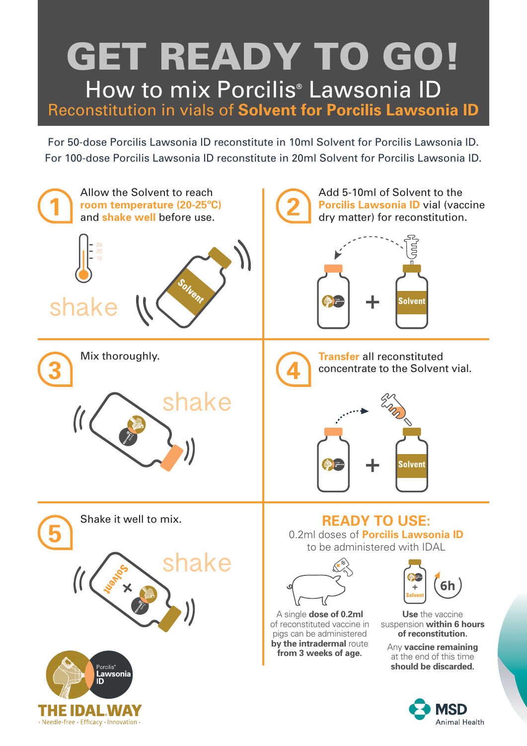## **GET READY TO GO!** How to mix Porcilis® Lawsonia ID Reconstitution in vials of **Solvent for Porcilis Lawsonia ID**

For 50-dose Porcilis Lawsonia ID reconstitute in 10ml Solvent for Porcilis Lawsonia ID. For 100-dose Porcilis Lawsonia ID reconstitute in 20ml Solvent for Porcilis Lawsonia ID.